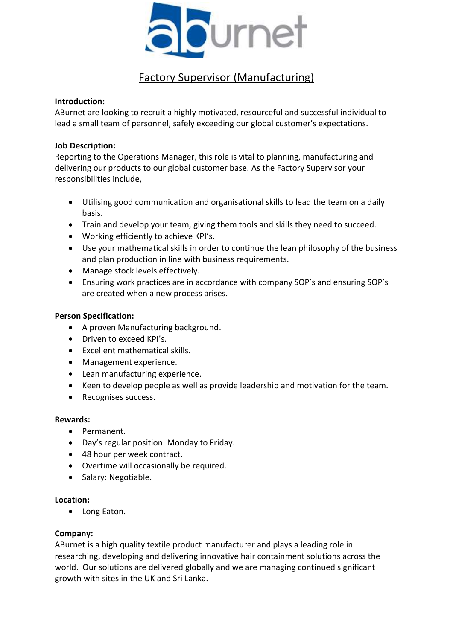

# Factory Supervisor (Manufacturing)

## **Introduction:**

ABurnet are looking to recruit a highly motivated, resourceful and successful individual to lead a small team of personnel, safely exceeding our global customer's expectations.

## **Job Description:**

Reporting to the Operations Manager, this role is vital to planning, manufacturing and delivering our products to our global customer base. As the Factory Supervisor your responsibilities include,

- Utilising good communication and organisational skills to lead the team on a daily basis.
- Train and develop your team, giving them tools and skills they need to succeed.
- Working efficiently to achieve KPI's.
- Use your mathematical skills in order to continue the lean philosophy of the business and plan production in line with business requirements.
- Manage stock levels effectively.
- Ensuring work practices are in accordance with company SOP's and ensuring SOP's are created when a new process arises.

## **Person Specification:**

- A proven Manufacturing background.
- Driven to exceed KPI's.
- Excellent mathematical skills.
- Management experience.
- Lean manufacturing experience.
- Keen to develop people as well as provide leadership and motivation for the team.
- Recognises success.

#### **Rewards:**

- Permanent.
- Day's regular position. Monday to Friday.
- 48 hour per week contract.
- Overtime will occasionally be required.
- Salary: Negotiable.

#### **Location:**

• Long Eaton.

# **Company:**

ABurnet is a high quality textile product manufacturer and plays a leading role in researching, developing and delivering innovative hair containment solutions across the world. Our solutions are delivered globally and we are managing continued significant growth with sites in the UK and Sri Lanka.